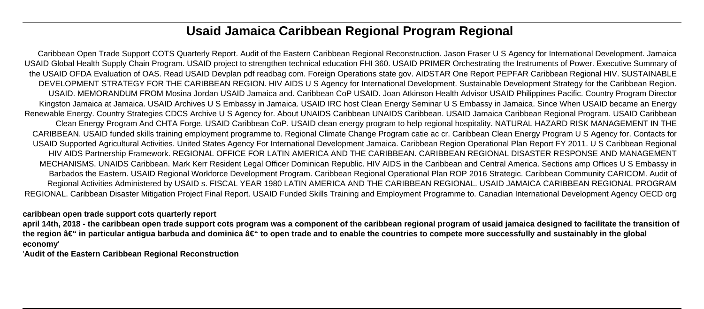# **Usaid Jamaica Caribbean Regional Program Regional**

Caribbean Open Trade Support COTS Quarterly Report. Audit of the Eastern Caribbean Regional Reconstruction. Jason Fraser U S Agency for International Development. Jamaica USAID Global Health Supply Chain Program. USAID project to strengthen technical education FHI 360. USAID PRIMER Orchestrating the Instruments of Power. Executive Summary of the USAID OFDA Evaluation of OAS. Read USAID Devplan pdf readbag com. Foreign Operations state gov. AIDSTAR One Report PEPFAR Caribbean Regional HIV. SUSTAINABLE DEVELOPMENT STRATEGY FOR THE CARIBBEAN REGION. HIV AIDS U S Agency for International Development. Sustainable Development Strategy for the Caribbean Region. USAID. MEMORANDUM FROM Mosina Jordan USAID Jamaica and. Caribbean CoP USAID. Joan Atkinson Health Advisor USAID Philippines Pacific. Country Program Director Kingston Jamaica at Jamaica. USAID Archives U S Embassy in Jamaica. USAID IRC host Clean Energy Seminar U S Embassy in Jamaica. Since When USAID became an Energy Renewable Energy. Country Strategies CDCS Archive U S Agency for. About UNAIDS Caribbean UNAIDS Caribbean. USAID Jamaica Caribbean Regional Program. USAID Caribbean Clean Energy Program And CHTA Forge. USAID Caribbean CoP. USAID clean energy program to help regional hospitality. NATURAL HAZARD RISK MANAGEMENT IN THE CARIBBEAN. USAID funded skills training employment programme to. Regional Climate Change Program catie ac cr. Caribbean Clean Energy Program U S Agency for. Contacts for USAID Supported Agricultural Activities. United States Agency For International Development Jamaica. Caribbean Region Operational Plan Report FY 2011. U S Caribbean Regional HIV AIDS Partnership Framework. REGIONAL OFFICE FOR LATIN AMERICA AND THE CARIBBEAN. CARIBBEAN REGIONAL DISASTER RESPONSE AND MANAGEMENT MECHANISMS. UNAIDS Caribbean. Mark Kerr Resident Legal Officer Dominican Republic. HIV AIDS in the Caribbean and Central America. Sections amp Offices U S Embassy in Barbados the Eastern. USAID Regional Workforce Development Program. Caribbean Regional Operational Plan ROP 2016 Strategic. Caribbean Community CARICOM. Audit of Regional Activities Administered by USAID s. FISCAL YEAR 1980 LATIN AMERICA AND THE CARIBBEAN REGIONAL. USAID JAMAICA CARIBBEAN REGIONAL PROGRAM REGIONAL. Caribbean Disaster Mitigation Project Final Report. USAID Funded Skills Training and Employment Programme to. Canadian International Development Agency OECD org

# **caribbean open trade support cots quarterly report**

**april 14th, 2018 - the caribbean open trade support cots program was a component of the caribbean regional program of usaid jamaica designed to facilitate the transition of** the region â€" in particular antigua barbuda and dominica â€" to open trade and to enable the countries to compete more successfully and sustainably in the global **economy**'

'**Audit of the Eastern Caribbean Regional Reconstruction**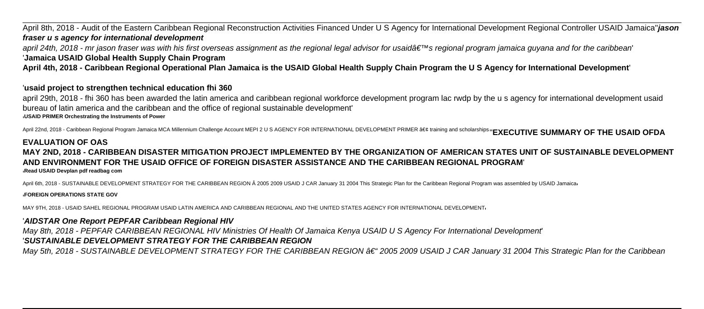April 8th, 2018 - Audit of the Eastern Caribbean Regional Reconstruction Activities Financed Under U S Agency for International Development Regional Controller USAID Jamaica''**jason fraser u s agency for international development**

april 24th, 2018 - mr jason fraser was with his first overseas assignment as the regional legal advisor for usaid's regional program jamaica guyana and for the caribbean' '**Jamaica USAID Global Health Supply Chain Program**

**April 4th, 2018 - Caribbean Regional Operational Plan Jamaica is the USAID Global Health Supply Chain Program the U S Agency for International Development**'

### '**usaid project to strengthen technical education fhi 360**

april 29th, 2018 - fhi 360 has been awarded the latin america and caribbean regional workforce development program lac rwdp by the u s agency for international development usaid bureau of latin america and the caribbean and the office of regional sustainable development' '**USAID PRIMER Orchestrating the Instruments of Power**

April 22nd, 2018 - Caribbean Regional Program Jamaica MCA Millennium Challenge Account MEPI 2 U S AGENCY FOR INTERNATIONAL DEVELOPMENT PRIMER • training and scholarships'''**EXECUTIVE SUMMARY OF THE USAID OFDA** 

# **EVALUATION OF OAS MAY 2ND, 2018 - CARIBBEAN DISASTER MITIGATION PROJECT IMPLEMENTED BY THE ORGANIZATION OF AMERICAN STATES UNIT OF SUSTAINABLE DEVELOPMENT AND ENVIRONMENT FOR THE USAID OFFICE OF FOREIGN DISASTER ASSISTANCE AND THE CARIBBEAN REGIONAL PROGRAM**' '**Read USAID Devplan pdf readbag com**

April 6th, 2018 - SUSTAINABLE DEVELOPMENT STRATEGY FOR THE CARIBBEAN REGION Â 2005 2009 USAID J CAR January 31 2004 This Strategic Plan for the Caribbean Regional Program was assembled by USAID Jamaica

#### '**FOREIGN OPERATIONS STATE GOV**

MAY 9TH, 2018 - USAID SAHEL REGIONAL PROGRAM USAID LATIN AMERICA AND CARIBBEAN REGIONAL AND THE UNITED STATES AGENCY FOR INTERNATIONAL DEVELOPMENT'

# '**AIDSTAR One Report PEPFAR Caribbean Regional HIV**

May 8th, 2018 - PEPFAR CARIBBEAN REGIONAL HIV Ministries Of Health Of Jamaica Kenya USAID U S Agency For International Development'

# '**SUSTAINABLE DEVELOPMENT STRATEGY FOR THE CARIBBEAN REGION**

May 5th, 2018 - SUSTAINABLE DEVELOPMENT STRATEGY FOR THE CARIBBEAN REGION  $\hat{\sigma}$  = 2005 2009 USAID J CAR January 31 2004 This Strategic Plan for the Caribbean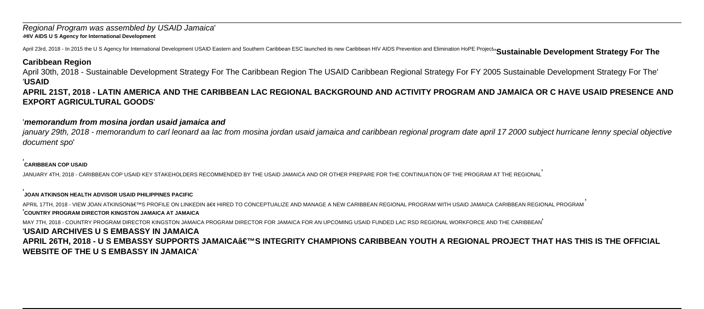#### Regional Program was assembled by USAID Jamaica' '**HIV AIDS U S Agency for International Development**

April 23rd, 2018 - In 2015 the US Agency for International Development USAID Eastern and Southern Caribbean ESC launched its new Caribbean HIV AIDS Prevention and Elimination HoPE Projectry Sustainable Development Strategy

# **Caribbean Region**

April 30th, 2018 - Sustainable Development Strategy For The Caribbean Region The USAID Caribbean Regional Strategy For FY 2005 Sustainable Development Strategy For The' '**USAID**

**APRIL 21ST, 2018 - LATIN AMERICA AND THE CARIBBEAN LAC REGIONAL BACKGROUND AND ACTIVITY PROGRAM AND JAMAICA OR C HAVE USAID PRESENCE AND EXPORT AGRICULTURAL GOODS**'

#### '**memorandum from mosina jordan usaid jamaica and**

january 29th, 2018 - memorandum to carl leonard aa lac from mosina jordan usaid jamaica and caribbean regional program date april 17 2000 subject hurricane lenny special objective document spo'

## '**CARIBBEAN COP USAID**

JANUARY 4TH, 2018 - CARIBBEAN COP USAID KEY STAKEHOLDERS RECOMMENDED BY THE USAID JAMAICA AND OR OTHER PREPARE FOR THE CONTINUATION OF THE PROGRAM AT THE REGIONAL'

#### **JOAN ATKINSON HEALTH ADVISOR USAID PHILIPPINES PACIFIC**

APRIL 17TH, 2018 - VIEW JOAN ATKINSON'S PROFILE ON LINKEDIN • HIRED TO CONCEPTUALIZE AND MANAGE A NEW CARIBBEAN REGIONAL PROGRAM WITH USAID JAMAICA CARIBBEAN REGIONAL PROGRAM '**COUNTRY PROGRAM DIRECTOR KINGSTON JAMAICA AT JAMAICA** MAY 7TH, 2018 - COUNTRY PROGRAM DIRECTOR KINGSTON JAMAICA PROGRAM DIRECTOR FOR JAMAICA FOR AN UPCOMING USAID FUNDED LAC RSD REGIONAL WORKFORCE AND THE CARIBBEAN'

# '**USAID ARCHIVES U S EMBASSY IN JAMAICA**

APRIL 26TH, 2018 - U S EMBASSY SUPPORTS JAMAICA'S INTEGRITY CHAMPIONS CARIBBEAN YOUTH A REGIONAL PROJECT THAT HAS THIS IS THE OFFICIAL **WEBSITE OF THE U S EMBASSY IN JAMAICA**'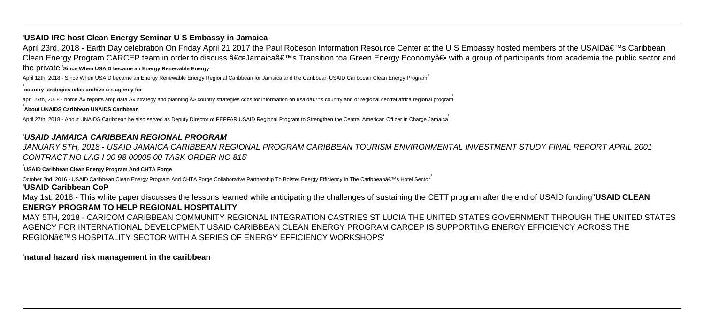# '**USAID IRC host Clean Energy Seminar U S Embassy in Jamaica**

April 23rd, 2018 - Earth Day celebration On Friday April 21 2017 the Paul Robeson Information Resource Center at the U S Embassy hosted members of the USAID's Caribbean Clean Energy Program CARCEP team in order to discuss "Jamaica's Transition toa Green Energy Economy― with a group of participants from academia the public sector and

#### the private''**Since When USAID became an Energy Renewable Energy**

April 12th, 2018 - Since When USAID became an Energy Renewable Energy Regional Caribbean for Jamaica and the Caribbean USAID Caribbean Clean Energy Program'

'**country strategies cdcs archive u s agency for**

april 27th, 2018 - home » reports amp data » strategy and planning » country strategies cdcs for information on usaid's country and or regional central africa regional program

# '**About UNAIDS Caribbean UNAIDS Caribbean**

April 27th, 2018 - About UNAIDS Caribbean he also served as Deputy Director of PEPFAR USAID Regional Program to Strengthen the Central American Officer in Charge Jamaica

# '**USAID JAMAICA CARIBBEAN REGIONAL PROGRAM**

JANUARY 5TH, 2018 - USAID JAMAICA CARIBBEAN REGIONAL PROGRAM CARIBBEAN TOURISM ENVIRONMENTAL INVESTMENT STUDY FINAL REPORT APRIL 2001 CONTRACT NO LAG I 00 98 00005 00 TASK ORDER NO 815'

# '**USAID Caribbean Clean Energy Program And CHTA Forge**

October 2nd, 2016 - USAID Caribbean Clean Energy Program And CHTA Forge Collaborative Partnership To Bolster Energy Efficiency In The Caribbean's Hotel Sector '**USAID Caribbean CoP**

May 1st, 2018 - This white paper discusses the lessons learned while anticipating the challenges of sustaining the CETT program after the end of USAID funding''**USAID CLEAN**

# **ENERGY PROGRAM TO HELP REGIONAL HOSPITALITY**

MAY 5TH, 2018 - CARICOM CARIBBEAN COMMUNITY REGIONAL INTEGRATION CASTRIES ST LUCIA THE UNITED STATES GOVERNMENT THROUGH THE UNITED STATES AGENCY FOR INTERNATIONAL DEVELOPMENT USAID CARIBBEAN CLEAN ENERGY PROGRAM CARCEP IS SUPPORTING ENERGY EFFICIENCY ACROSS THE REGION'S HOSPITALITY SECTOR WITH A SERIES OF ENERGY EFFICIENCY WORKSHOPS'

'**natural hazard risk management in the caribbean**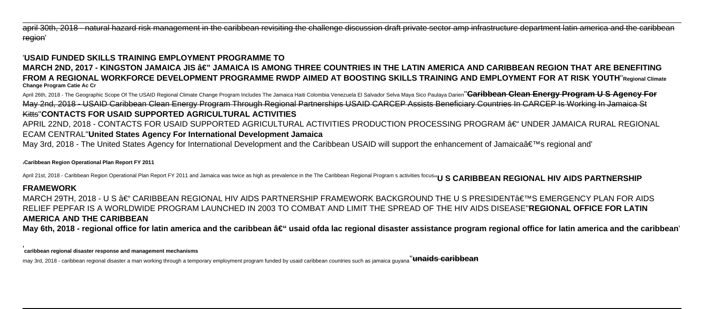april 30th, 2018 - natural hazard risk management in the caribbean revisiting the challenge discussion draft private sector amp infrastructure department latin america and the caribbear region'

# '**USAID FUNDED SKILLS TRAINING EMPLOYMENT PROGRAMME TO**

**MARCH 2ND, 2017 - KINGSTON JAMAICA JIS â€" JAMAICA IS AMONG THREE COUNTRIES IN THE LATIN AMERICA AND CARIBBEAN REGION THAT ARE BENEFITING FROM A REGIONAL WORKFORCE DEVELOPMENT PROGRAMME RWDP AIMED AT BOOSTING SKILLS TRAINING AND EMPLOYMENT FOR AT RISK YOUTH**''**Regional Climate Change Program Catie Ac Cr**

April 26th, 2018 - The Geographic Scope Of The USAID Regional Climate Change Program Includes The Jamaica Haiti Colombia Venezuela El Salvador Selva Maya Sico Paulava Darien<sup>11</sup> Caribbean Clean Encray Program LJ S Agency F May 2nd, 2018 - USAID Caribbean Clean Energy Program Through Regional Partnerships USAID CARCEP Assists Beneficiary Countries In CARCEP Is Working In Jamaica St Kitts''**CONTACTS FOR USAID SUPPORTED AGRICULTURAL ACTIVITIES**

APRIL 22ND, 2018 - CONTACTS FOR USAID SUPPORTED AGRICULTURAL ACTIVITIES PRODUCTION PROCESSING PROGRAM – UNDER JAMAICA RURAL REGIONAL ECAM CENTRAL''**United States Agency For International Development Jamaica**

May 3rd, 2018 - The United States Agency for International Development and the Caribbean USAID will support the enhancement of Jamaica's regional and'

#### '**Caribbean Region Operational Plan Report FY 2011**

April 21st, 2018 - Caribbean Region Operational Plan Report FY 2011 and Jamaica was twice as high as prevalence in the The Caribbean Regional Program s activities focus<sup>1</sup>'U S CARIBBEAN REGIONAL HIV AIDS PARTNERSHIP

# **FRAMEWORK**

MARCH 29TH. 2018 - U S – CARIBBEAN REGIONAL HIV AIDS PARTNERSHIP FRAMEWORK BACKGROUND THE U S PRESIDENT'S EMERGENCY PLAN FOR AIDS RELIEF PEPFAR IS A WORLDWIDE PROGRAM LAUNCHED IN 2003 TO COMBAT AND LIMIT THE SPREAD OF THE HIV AIDS DISEASE''**REGIONAL OFFICE FOR LATIN AMERICA AND THE CARIBBEAN**

May 6th, 2018 - regional office for latin america and the caribbean â€" usaid ofda lac regional disaster assistance program regional office for latin america and the caribbean'

'**caribbean regional disaster response and management mechanisms**

may 3rd, 2018 - caribbean regional disaster a man working through a temporary employment program funded by usaid caribbean countries such as jamaica guyana''**unaids caribbean**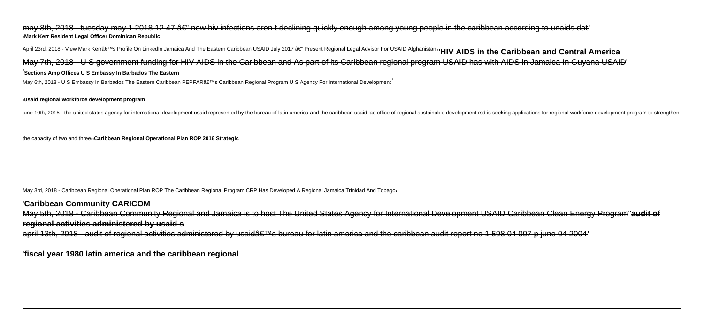may 8th, 2018 - tuesday may 1 2018 12 47 â€" new hiv infections aren t declining quickly enough among young people in the caribbean according to unaids dat' '**Mark Kerr Resident Legal Officer Dominican Republic**

April 23rd, 2018 - View Mark Kerr's Profile On LinkedIn Jamaica And The Eastern Caribbean USAID July 2017 – Present Regional Legal Advisor For USAID Afghanistan<sub>''</sub>HIV AIDS in the Caribbean and Central America May 7th, 2018 - U S government funding for HIV AIDS in the Caribbean and As part of its Caribbean regional program USAID has with AIDS in Jamaica In Guyana USAID' '**Sections Amp Offices U S Embassy In Barbados The Eastern**

May 6th, 2018 - U S Embassy In Barbados The Eastern Caribbean PEPFAR's Caribbean Regional Program U S Agency For International Development

#### '**usaid regional workforce development program**

june 10th, 2015 - the united states agency for international development usaid represented by the bureau of latin america and the caribbean usaid lac office of regional sustainable development rsd is seeking applications f

the capacity of two and three''**Caribbean Regional Operational Plan ROP 2016 Strategic**

May 3rd, 2018 - Caribbean Regional Operational Plan ROP The Caribbean Regional Program CRP Has Developed A Regional Jamaica Trinidad And Tobago

#### '**Caribbean Community CARICOM**

May 5th, 2018 - Caribbean Community Regional and Jamaica is to host The United States Agency for International Development USAID Caribbean Clean Energy Program''**audit of regional activities administered by usaid s**

april 13th, 2018 - audit of regional activities administered by usaid's bureau for latin america and the caribbean audit report no 1 598 04 007 p june 04 2004'

'**fiscal year 1980 latin america and the caribbean regional**